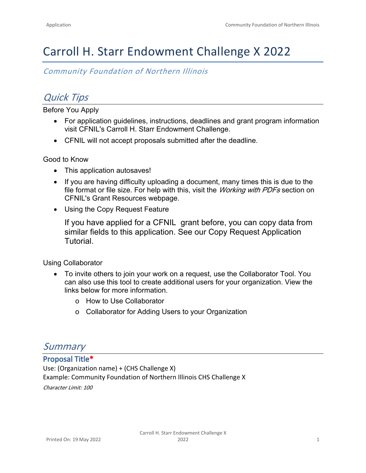# Carroll H. Starr Endowment Challenge X 2022

*Community Foundation of Northern Illinois*

# *Quick Tips*

Before You Apply

- For application guidelines, instructions, deadlines and grant program information visit [CFNIL's Carroll H. Starr Endowment Challenge.](https://www.cfnil.org/grants/carroll-h-starr-endowment-challenge)
- CFNIL will not accept proposals submitted after the deadline.

Good to Know

- This application autosaves!
- If you are having difficulty uploading a document, many times this is due to the file format or file size. For help with this, visit the *Working with PDFs* section on [CFNIL's Grant Resources](https://www.cfnil.org/grant-resources) webpage.
- Using the Copy Request Feature

If you have applied for a CFNIL grant before, you can copy data from similar fields to this application. See our [Copy Request Application](https://support.foundant.com/hc/en-us/articles/4523861991575-Applicant-Tutorial-Copy-Request)  [Tutorial.](https://support.foundant.com/hc/en-us/articles/4523861991575-Applicant-Tutorial-Copy-Request) 

Using Collaborator

- To invite others to join your work on a request, use the Collaborator Tool. You can also use this tool to create additional users for your organization. View the links below for more information.
	- o [How to Use Collaborator](https://drive.google.com/file/d/1IHkAEvTD4c-t9BwclyQY_OCdghW5U56B/view)
	- o [Collaborator for Adding Users to your Organization](https://docs.google.com/document/d/1RRgt4LxKd5cdmY8XPfY5tLoHUqziqa98WLN4zFFBSbw/edit)

## *Summary*

**Proposal Title\*** Use: (Organization name) + (CHS Challenge X) Example: Community Foundation of Northern Illinois CHS Challenge X *Character Limit: 100*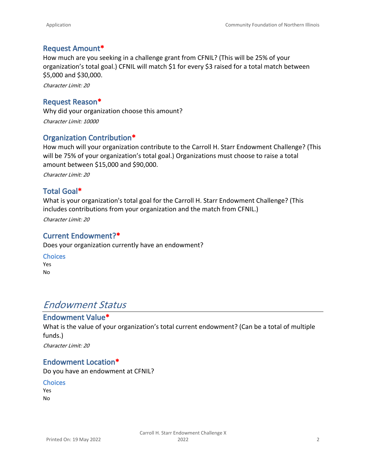### **Request Amount\***

How much are you seeking in a challenge grant from CFNIL? (This will be 25% of your organization's total goal.) CFNIL will match \$1 for every \$3 raised for a total match between \$5,000 and \$30,000.

*Character Limit: 20*

### **Request Reason\***

Why did your organization choose this amount? *Character Limit: 10000*

## **Organization Contribution\***

How much will your organization contribute to the Carroll H. Starr Endowment Challenge? (This will be 75% of your organization's total goal.) Organizations must choose to raise a total amount between \$15,000 and \$90,000.

*Character Limit: 20*

## **Total Goal\***

What is your organization's total goal for the Carroll H. Starr Endowment Challenge? (This includes contributions from your organization and the match from CFNIL.)

*Character Limit: 20*

### **Current Endowment?\***

Does your organization currently have an endowment?

### **Choices**

Yes No

## *Endowment Status*

### **Endowment Value\***

What is the value of your organization's total current endowment? (Can be a total of multiple funds.) *Character Limit: 20*

## **Endowment Location\***

Do you have an endowment at CFNIL?

**Choices** Yes

No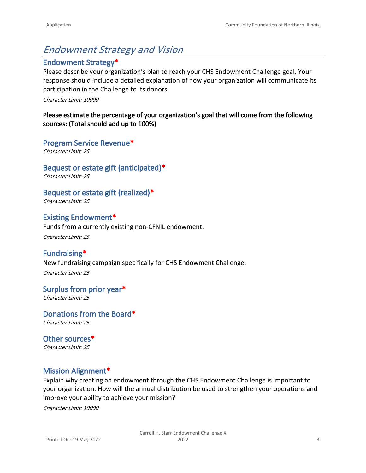# *Endowment Strategy and Vision*

## **Endowment Strategy\***

Please describe your organization's plan to reach your CHS Endowment Challenge goal. Your response should include a detailed explanation of how your organization will communicate its participation in the Challenge to its donors.

#### *Character Limit: 10000*

### **Please estimate the percentage of your organization's goal that will come from the following sources: (Total should add up to 100%)**

**Program Service Revenue\***

*Character Limit: 25*

**Bequest or estate gift (anticipated)\*** *Character Limit: 25*

**Bequest or estate gift (realized)\***

*Character Limit: 25*

**Existing Endowment\***

Funds from a currently existing non-CFNIL endowment.

*Character Limit: 25*

**Fundraising\*** New fundraising campaign specifically for CHS Endowment Challenge: *Character Limit: 25*

**Surplus from prior year\***

*Character Limit: 25*

**Donations from the Board\*** *Character Limit: 25*

**Other sources\*** *Character Limit: 25*

## **Mission Alignment\***

Explain why creating an endowment through the CHS Endowment Challenge is important to your organization. How will the annual distribution be used to strengthen your operations and improve your ability to achieve your mission?

*Character Limit: 10000*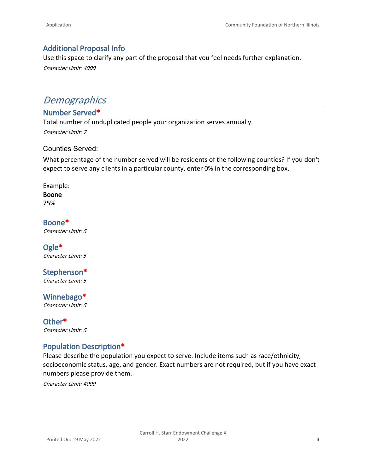## **Additional Proposal Info**

Use this space to clarify any part of the proposal that you feel needs further explanation. *Character Limit: 4000*

# *Demographics*

## **Number Served\***

Total number of unduplicated people your organization serves annually.

*Character Limit: 7*

### Counties Served:

What percentage of the number served will be residents of the following counties? If you don't expect to serve any clients in a particular county, enter 0% in the corresponding box.

### Example:

### **Boone**

75%

### **Boone\*** *Character Limit: 5*

#### **Ogle\*** *Character Limit: 5*

#### **Stephenson\*** *Character Limit: 5*

**Winnebago\***

*Character Limit: 5*

**Other\*** *Character Limit: 5*

## **Population Description\***

Please describe the population you expect to serve. Include items such as race/ethnicity, socioeconomic status, age, and gender. Exact numbers are not required, but if you have exact numbers please provide them.

*Character Limit: 4000*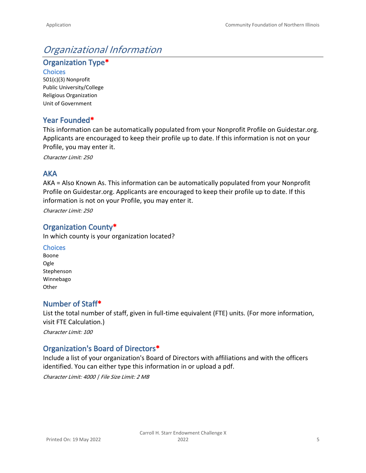# *Organizational Information*

**Organization Type\***

**Choices** 501(c)(3) Nonprofit Public University/College Religious Organization Unit of Government

## **Year Founded\***

This information can be automatically populated from your Nonprofit Profile on Guidestar.org. Applicants are encouraged to keep their profile up to date. If this information is not on your Profile, you may enter it.

*Character Limit: 250*

## **AKA**

AKA = Also Known As. This information can be automatically populated from your Nonprofit Profile on Guidestar.org. Applicants are encouraged to keep their profile up to date. If this information is not on your Profile, you may enter it.

*Character Limit: 250*

## **Organization County\***

In which county is your organization located?

### **Choices**

Boone Ogle Stephenson Winnebago **Other** 

## **Number of Staff\***

List the total number of staff, given in full-time equivalent (FTE) units. (For more information, visit [FTE Calculation](https://www.healthcare.gov/shop-calculators-fte/).)

*Character Limit: 100*

## **Organization's Board of Directors\***

Include a list of your organization's Board of Directors with affiliations and with the officers identified. You can either type this information in or upload a pdf.

*Character Limit: 4000 | File Size Limit: 2 MB*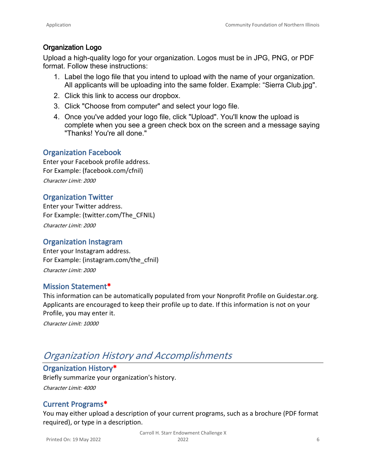## **Organization Logo**

Upload a high-quality logo for your organization. Logos must be in JPG, PNG, or PDF format. Follow these instructions:

- 1. Label the logo file that you intend to upload with the name of your organization. All applicants will be uploading into the same folder. Example: "Sierra Club.jpg".
- 2. [Click this link to access our dropbox.](https://www.dropbox.com/request/tBZrW03DEY1Bxs3J0sWk)
- 3. Click "Choose from computer" and select your logo file.
- 4. Once you've added your logo file, click "Upload". You'll know the upload is complete when you see a green check box on the screen and a message saying "Thanks! You're all done."

## **Organization Facebook**

Enter your Facebook profile address. For Example: (facebook.com/cfnil) *Character Limit: 2000*

## **Organization Twitter**

Enter your Twitter address. For Example: (twitter.com/The\_CFNIL) *Character Limit: 2000*

## **Organization Instagram**

Enter your Instagram address. For Example: (instagram.com/the\_cfnil) *Character Limit: 2000*

## **Mission Statement\***

This information can be automatically populated from your Nonprofit Profile on Guidestar.org. Applicants are encouraged to keep their profile up to date. If this information is not on your Profile, you may enter it.

*Character Limit: 10000*

# *Organization History and Accomplishments*

## **Organization History\***

Briefly summarize your organization's history. *Character Limit: 4000*

## **Current Programs\***

You may either upload a description of your current programs, such as a brochure (PDF format required), or type in a description.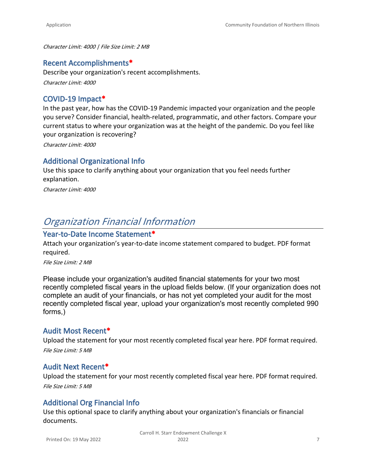*Character Limit: 4000 | File Size Limit: 2 MB*

### **Recent Accomplishments\***

Describe your organization's recent accomplishments. *Character Limit: 4000*

### **COVID-19 Impact\***

In the past year, how has the COVID-19 Pandemic impacted your organization and the people you serve? Consider financial, health-related, programmatic, and other factors. Compare your current status to where your organization was at the height of the pandemic. Do you feel like your organization is recovering?

*Character Limit: 4000*

## **Additional Organizational Info**

Use this space to clarify anything about your organization that you feel needs further explanation.

*Character Limit: 4000*

## *Organization Financial Information*

### **Year-to-Date Income Statement\***

Attach your organization's year-to-date income statement compared to budget. PDF format required.

*File Size Limit: 2 MB*

Please include your organization's audited financial statements for your two most recently completed fiscal years in the upload fields below. (If your organization does not complete an audit of your financials, or has not yet completed your audit for the most recently completed fiscal year, upload your organization's most recently completed 990 forms,)

### **Audit Most Recent\***

Upload the statement for your most recently completed fiscal year here. PDF format required. *File Size Limit: 5 MB*

### **Audit Next Recent\***

Upload the statement for your most recently completed fiscal year here. PDF format required. *File Size Limit: 5 MB*

## **Additional Org Financial Info**

Use this optional space to clarify anything about your organization's financials or financial documents.